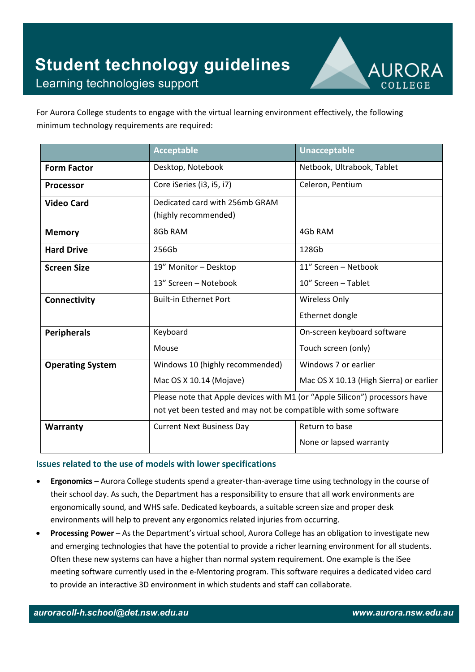

For Aurora College students to engage with the virtual learning environment effectively, the following minimum technology requirements are required:

|                         | <b>Acceptable</b>                                                           | <b>Unacceptable</b>                     |
|-------------------------|-----------------------------------------------------------------------------|-----------------------------------------|
| <b>Form Factor</b>      | Desktop, Notebook                                                           | Netbook, Ultrabook, Tablet              |
| <b>Processor</b>        | Core iSeries (i3, i5, i7)                                                   | Celeron, Pentium                        |
| <b>Video Card</b>       | Dedicated card with 256mb GRAM                                              |                                         |
|                         | (highly recommended)                                                        |                                         |
| <b>Memory</b>           | 8Gb RAM                                                                     | 4Gb RAM                                 |
| <b>Hard Drive</b>       | 256Gb                                                                       | 128Gb                                   |
| <b>Screen Size</b>      | 19" Monitor - Desktop                                                       | 11" Screen - Netbook                    |
|                         | 13" Screen - Notebook                                                       | 10" Screen - Tablet                     |
| Connectivity            | <b>Built-in Ethernet Port</b>                                               | <b>Wireless Only</b>                    |
|                         |                                                                             | Ethernet dongle                         |
| <b>Peripherals</b>      | Keyboard                                                                    | On-screen keyboard software             |
|                         | Mouse                                                                       | Touch screen (only)                     |
| <b>Operating System</b> | Windows 10 (highly recommended)                                             | Windows 7 or earlier                    |
|                         | Mac OS X 10.14 (Mojave)                                                     | Mac OS X 10.13 (High Sierra) or earlier |
|                         | Please note that Apple devices with M1 (or "Apple Silicon") processors have |                                         |
|                         | not yet been tested and may not be compatible with some software            |                                         |
| Warranty                | <b>Current Next Business Day</b>                                            | Return to base                          |
|                         |                                                                             | None or lapsed warranty                 |

## **Issues related to the use of models with lower specifications**

- **Ergonomics –** Aurora College students spend a greater-than-average time using technology in the course of their school day. As such, the Department has a responsibility to ensure that all work environments are ergonomically sound, and WHS safe. Dedicated keyboards, a suitable screen size and proper desk environments will help to prevent any ergonomics related injuries from occurring.
- **Processing Power** As the Department's virtual school, Aurora College has an obligation to investigate new and emerging technologies that have the potential to provide a richer learning environment for all students. Often these new systems can have a higher than normal system requirement. One example is the iSee meeting software currently used in the e-Mentoring program. This software requires a dedicated video card to provide an interactive 3D environment in which students and staff can collaborate.